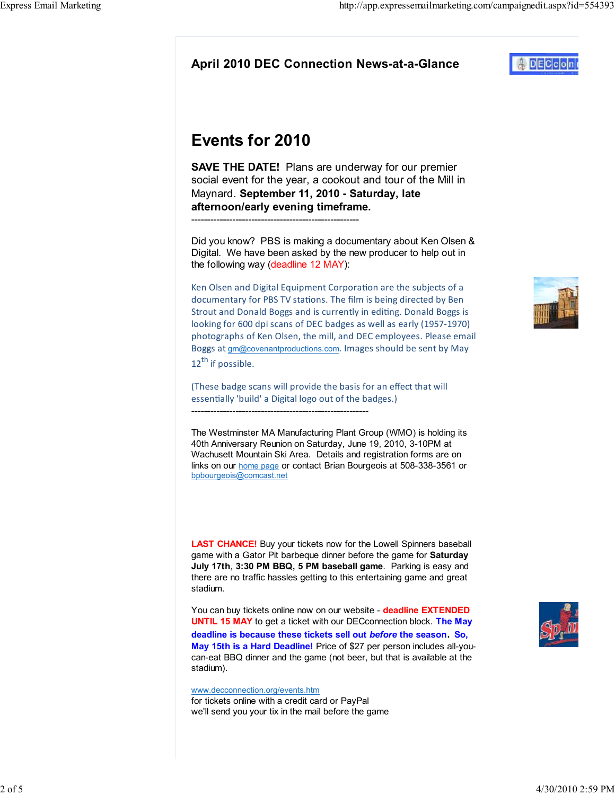# Events for 2010

**SAVE THE DATE!** Plans are underway for our premier social event for the year, a cookout and tour of the Mill in Maynard. September 11, 2010 - Saturday, late afternoon/early evening timeframe. -----------------------------------------------------

Did you know? PBS is making a documentary about Ken Olsen & Digital. We have been asked by the new producer to help out in the following way (deadline 12 MAY):

Ken Olsen and Digital Equipment Corporation are the subjects of a documentary for PBS TV stations. The film is being directed by Ben Strout and Donald Boggs and is currently in editing. Donald Boggs is looking for 600 dpi scans of DEC badges as well as early (1957-1970) photographs of Ken Olsen, the mill, and DEC employees. Please email Boggs at gm@covenantproductions.com. Images should be sent by May 12<sup>th</sup> if possible.

(These badge scans will provide the basis for an effect that will essentially 'build' a Digital logo out of the badges.) --------------------------------------------------------

The Westminster MA Manufacturing Plant Group (WMO) is holding its 40th Anniversary Reunion on Saturday, June 19, 2010, 3-10PM at Wachusett Mountain Ski Area. Details and registration forms are on links on our home page or contact Brian Bourgeois at 508-338-3561 or bpbourgeois@comcast.net

LAST CHANCE! Buy your tickets now for the Lowell Spinners baseball game with a Gator Pit barbeque dinner before the game for Saturday July 17th, 3:30 PM BBQ, 5 PM baseball game. Parking is easy and there are no traffic hassles getting to this entertaining game and great stadium.

You can buy tickets online now on our website - deadline EXTENDED UNTIL 15 MAY to get a ticket with our DECconnection block. The May deadline is because these tickets sell out before the season. So, May 15th is a Hard Deadline! Price of \$27 per person includes all-youcan-eat BBQ dinner and the game (not beer, but that is available at the stadium).

www.decconnection.org/events.htm for tickets online with a credit card or PayPal we'll send you your tix in the mail before the game





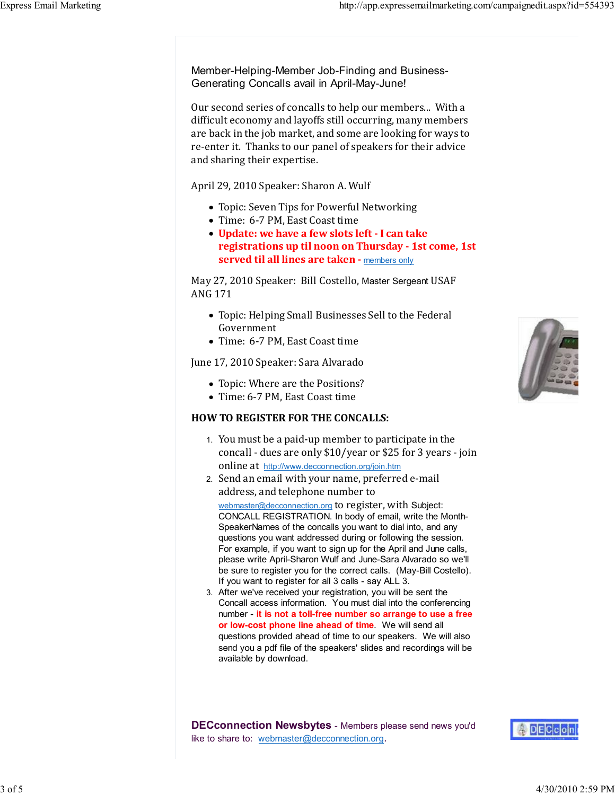Member-Helping-Member Job-Finding and Business-Generating Concalls avail in April-May-June!

Our second series of concalls to help our members... With a dificult economy and layoffs still occurring, many members are back in the job market, and some are looking for ways to re-enter it. Thanks to our panel of speakers for their advice and sharing their expertise.

April 29, 2010 Speaker: Sharon A. Wulf

- Topic: Seven Tips for Powerful Networking
- Time: 6-7 PM, East Coast time
- Update: we have a few slots left I can take registrations up til noon on Thursday - 1st come, 1st served til all lines are taken - members only

May 27, 2010 Speaker: Bill Costello, Master Sergeant USAF ANG 171

- Topic: Helping Small Businesses Sell to the Federal Government
- Time: 6-7 PM, East Coast time

June 17, 2010 Speaker: Sara Alvarado

- Topic: Where are the Positions?
- Time: 6-7 PM, East Coast time

### HOW TO REGISTER FOR THE CONCALLS:

- 1. You must be a paid-up member to participate in the concall - dues are only \$10/year or \$25 for 3 years - join online at http://www.decconnection.org/join.htm
- 2. Send an email with your name, preferred e-mail address, and telephone number to webmaster@decconnection.org to register, with Subject: CONCALL REGISTRATION. In body of email, write the Month-SpeakerNames of the concalls you want to dial into, and any questions you want addressed during or following the session. For example, if you want to sign up for the April and June calls, please write April-Sharon Wulf and June-Sara Alvarado so we'll be sure to register you for the correct calls. (May-Bill Costello). If you want to register for all 3 calls - say ALL 3.
- After we've received your registration, you will be sent the 3. Concall access information. You must dial into the conferencing number - it is not a toll-free number so arrange to use a free or low-cost phone line ahead of time. We will send all questions provided ahead of time to our speakers. We will also send you a pdf file of the speakers' slides and recordings will be available by download.



**DECconnection Newsbytes** - Members please send news you'd like to share to: webmaster@decconnection.org.

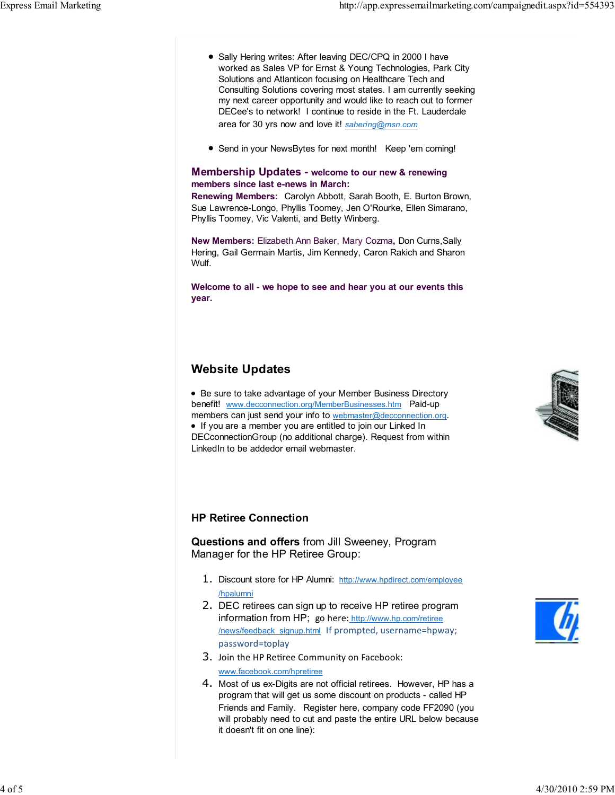- Sally Hering writes: After leaving DEC/CPQ in 2000 I have worked as Sales VP for Ernst & Young Technologies, Park City Solutions and Atlanticon focusing on Healthcare Tech and Consulting Solutions covering most states. I am currently seeking my next career opportunity and would like to reach out to former DECee's to network! I continue to reside in the Ft. Lauderdale area for 30 yrs now and love it! sahering@msn.com
- Send in your NewsBytes for next month! Keep 'em coming!

#### Membership Updates - welcome to our new & renewing members since last e-news in March:

Renewing Members: Carolyn Abbott, Sarah Booth, E. Burton Brown, Sue Lawrence-Longo, Phyllis Toomey, Jen O'Rourke, Ellen Simarano, Phyllis Toomey, Vic Valenti, and Betty Winberg.

New Members: Elizabeth Ann Baker, Mary Cozma, Don Curns,Sally Hering, Gail Germain Martis, Jim Kennedy, Caron Rakich and Sharon Wulf.

Welcome to all - we hope to see and hear you at our events this year.

## Website Updates

Be sure to take advantage of your Member Business Directory benefit! www.decconnection.org/MemberBusinesses.htm Paid-up members can just send your info to webmaster@decconnection.org. If you are a member you are entitled to join our Linked In DECconnectionGroup (no additional charge). Request from within LinkedIn to be addedor email webmaster.



#### HP Retiree Connection

Questions and offers from Jill Sweeney, Program Manager for the HP Retiree Group:

- 1. Discount store for HP Alumni: http://www.hpdirect.com/employee /hpalumni
- 2. DEC retirees can sign up to receive HP retiree program information from HP; go here: http://www.hp.com/retiree /news/feedback\_signup.html If prompted, username=hpway; password=toplay
- 3. Join the HP Retiree Community on Facebook: www.facebook.com/hpretiree
- 4. Most of us ex-Digits are not official retirees. However, HP has a program that will get us some discount on products - called HP Friends and Family. Register here, company code FF2090 (you will probably need to cut and paste the entire URL below because it doesn't fit on one line):